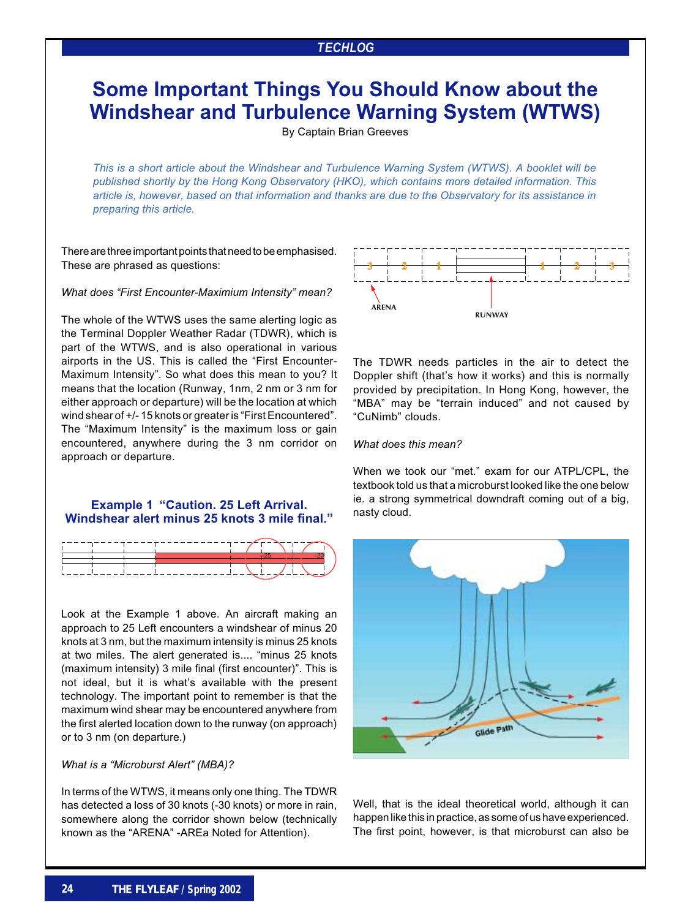## *TECHLOG*

# **Some Important Things You Should Know about the Windshear and Turbulence Warning System (WTWS)**

By Captain Brian Greeves

*This is a short article about the Windshear and Turbulence Warning System (WTWS). A booklet will be published shortly by the Hong Kong Observatory (HKO), which contains more detailed information. This article is, however, based on that information and thanks are due to the Observatory for its assistance in preparing this article.*

There are three important points that need to be emphasised. These are phrased as questions:

*What does "First Encounter-Maximium Intensity" mean?*

The whole of the WTWS uses the same alerting logic as the Terminal Doppler Weather Radar (TDWR), which is part of the WTWS, and is also operational in various airports in the US. This is called the "First Encounter-Maximum Intensity". So what does this mean to you? It means that the location (Runway, 1nm, 2 nm or 3 nm for either approach or departure) will be the location at which wind shear of +/- 15 knots or greater is "First Encountered". The "Maximum Intensity" is the maximum loss or gain encountered, anywhere during the 3 nm corridor on approach or departure.

### **Example 1 "Caution. 25 Left Arrival. Windshear alert minus 25 knots 3 mile final."**



Look at the Example 1 above. An aircraft making an approach to 25 Left encounters a windshear of minus 20 knots at 3 nm, but the maximum intensity is minus 25 knots at two miles. The alert generated is.... "minus 25 knots (maximum intensity) 3 mile final (first encounter)". This is not ideal, but it is what's available with the present technology. The important point to remember is that the maximum wind shear may be encountered anywhere from the first alerted location down to the runway (on approach) or to 3 nm (on departure.)

#### *What is a "Microburst Alert" (MBA)?*

In terms of the WTWS, it means only one thing. The TDWR has detected a loss of 30 knots (-30 knots) or more in rain, somewhere along the corridor shown below (technically known as the "ARENA" -AREa Noted for Attention).



The TDWR needs particles in the air to detect the Doppler shift (that's how it works) and this is normally provided by precipitation. In Hong Kong, however, the "MBA" may be "terrain induced" and not caused by "CuNimb" clouds.

#### *What does this mean?*

When we took our "met." exam for our ATPL/CPL, the textbook told us that a microburst looked like the one below ie. a strong symmetrical downdraft coming out of a big, nasty cloud.



Well, that is the ideal theoretical world, although it can happen like this in practice, as some of us have experienced. The first point, however, is that microburst can also be